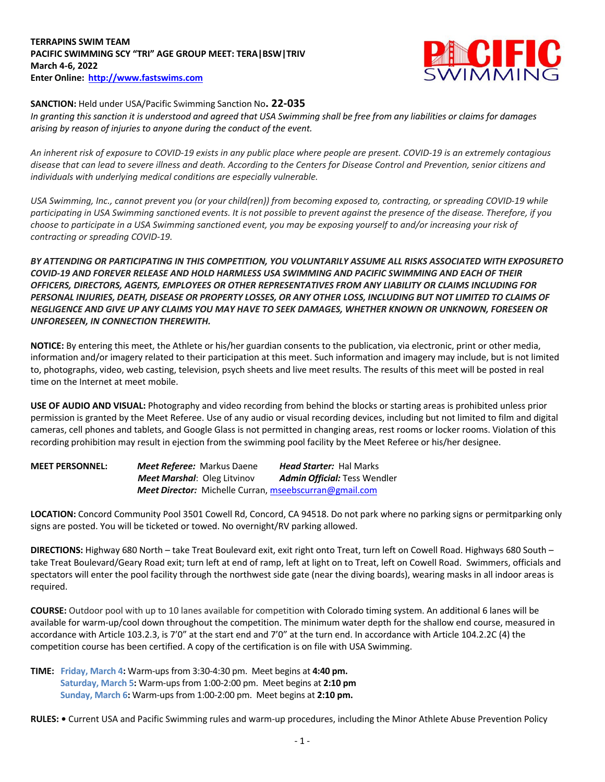## **TERRAPINS SWIM TEAM PACIFIC SWIMMING SCY "TRI" AGE GROUP MEET: TERA|BSW|TRIV March 4-6, 2022 Enter Online: http://www.fastswims.com**



**SANCTION:** Held under USA/Pacific Swimming Sanction No**. 22-035**

In granting this sanction it is understood and agreed that USA Swimming shall be free from any liabilities or claims for damages *arising by reason of injuries to anyone during the conduct of the event.*

*An inherent risk of exposure to COVID-19 exists in any public place where people are present. COVID-19 is an extremely contagious disease that can lead to severe illness and death. According to the Centers for Disease Control and Prevention, senior citizens and individuals with underlying medical conditions are especially vulnerable.*

*USA Swimming, Inc., cannot prevent you (or your child(ren)) from becoming exposed to, contracting, or spreading COVID-19 while* participating in USA Swimming sanctioned events. It is not possible to prevent against the presence of the disease. Therefore, if you *choose to participate in a USA Swimming sanctioned event, you may be exposing yourself to and/or increasing your risk of contracting or spreading COVID-19.*

*BY ATTENDING OR PARTICIPATING IN THIS COMPETITION, YOU VOLUNTARILY ASSUME ALL RISKS ASSOCIATED WITH EXPOSURETO COVID-19 AND FOREVER RELEASE AND HOLD HARMLESS USA SWIMMING AND PACIFIC SWIMMING AND EACH OF THEIR OFFICERS, DIRECTORS, AGENTS, EMPLOYEES OR OTHER REPRESENTATIVES FROM ANY LIABILITY OR CLAIMS INCLUDING FOR* PERSONAL INJURIES, DEATH, DISEASE OR PROPERTY LOSSES, OR ANY OTHER LOSS, INCLUDING BUT NOT LIMITED TO CLAIMS OF *NEGLIGENCE AND GIVE UP ANY CLAIMS YOU MAY HAVE TO SEEK DAMAGES, WHETHER KNOWN OR UNKNOWN, FORESEEN OR UNFORESEEN, IN CONNECTION THEREWITH.*

**NOTICE:** By entering this meet, the Athlete or his/her guardian consents to the publication, via electronic, print or other media, information and/or imagery related to their participation at this meet. Such information and imagery may include, but is not limited to, photographs, video, web casting, television, psych sheets and live meet results. The results of this meet will be posted in real time on the Internet at meet mobile.

**USE OF AUDIO AND VISUAL:** Photography and video recording from behind the blocks or starting areas is prohibited unless prior permission is granted by the Meet Referee. Use of any audio or visual recording devices, including but not limited to film and digital cameras, cell phones and tablets, and Google Glass is not permitted in changing areas, rest rooms or locker rooms. Violation of this recording prohibition may result in ejection from the swimming pool facility by the Meet Referee or his/her designee.

**MEET PERSONNEL:** *Meet Referee:* Markus Daene *Head Starter:* Hal Marks  *Meet Marshal*: Oleg Litvinov *Admin Official:* Tess Wendler  *Meet Director:* Michelle Curran, mseebscurran@gmail.com

**LOCATION:** Concord Community Pool 3501 Cowell Rd, Concord, CA 94518. Do not park where no parking signs or permitparking only signs are posted. You will be ticketed or towed. No overnight/RV parking allowed.

**DIRECTIONS:** Highway 680 North – take Treat Boulevard exit, exit right onto Treat, turn left on Cowell Road. Highways 680 South – take Treat Boulevard/Geary Road exit; turn left at end of ramp, left at light on to Treat, left on Cowell Road. Swimmers, officials and spectators will enter the pool facility through the northwest side gate (near the diving boards), wearing masks in all indoor areas is required.

**COURSE:** Outdoor pool with up to 10 lanes available for competition with Colorado timing system. An additional 6 lanes will be available for warm-up/cool down throughout the competition. The minimum water depth for the shallow end course, measured in accordance with Article 103.2.3, is 7'0" at the start end and 7'0" at the turn end. In accordance with Article 104.2.2C (4) the competition course has been certified. A copy of the certification is on file with USA Swimming.

**TIME: Friday, March 4:** Warm-ups from 3:30-4:30 pm. Meet begins at **4:40 pm. Saturday, March 5:** Warm-ups from 1:00-2:00 pm. Meet begins at **2:10 pm Sunday, March 6:** Warm-ups from 1:00-2:00 pm. Meet begins at **2:10 pm.**

**RULES: •** Current USA and Pacific Swimming rules and warm-up procedures, including the Minor Athlete Abuse Prevention Policy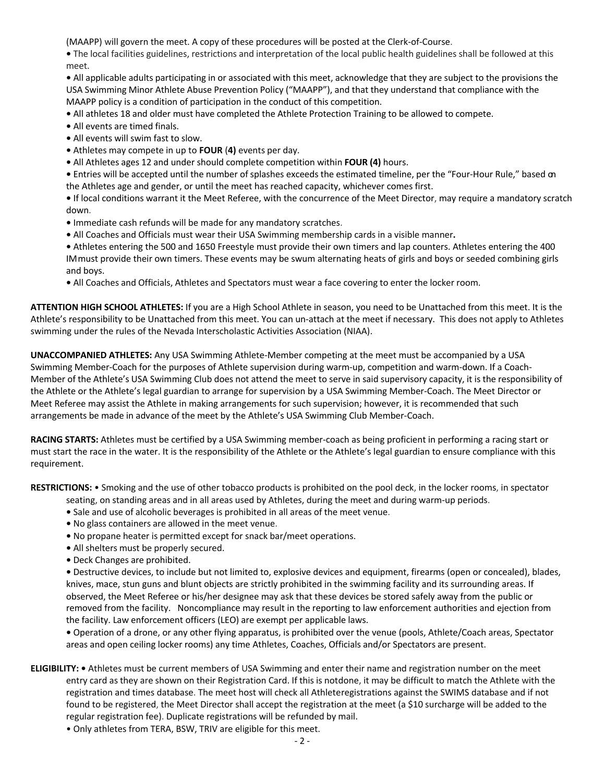(MAAPP) will govern the meet. A copy of these procedures will be posted at the Clerk-of-Course.

**•** The local facilities guidelines, restrictions and interpretation of the local public health guidelines shall be followed at this meet.

**•** All applicable adults participating in or associated with this meet, acknowledge that they are subject to the provisions the USA Swimming Minor Athlete Abuse Prevention Policy ("MAAPP"), and that they understand that compliance with the MAAPP policy is a condition of participation in the conduct of this competition.

- All athletes 18 and older must have completed the Athlete Protection Training to be allowed to compete.
- All events are timed finals.
- All events will swim fast to slow.
- Athletes may compete in up to **FOUR** (**4)** events per day.
- All Athletes ages 12 and under should complete competition within **FOUR (4)** hours.

**•** Entries will be accepted until the number of splashes exceeds the estimated timeline, per the "Four-Hour Rule," based on the Athletes age and gender, or until the meet has reached capacity, whichever comes first.

**•** If local conditions warrant it the Meet Referee, with the concurrence of the Meet Director, may require a mandatory scratch down.

- Immediate cash refunds will be made for any mandatory scratches.
- All Coaches and Officials must wear their USA Swimming membership cards in a visible manner**.**

**•** Athletes entering the 500 and 1650 Freestyle must provide their own timers and lap counters. Athletes entering the 400 IM must provide their own timers. These events may be swum alternating heats of girls and boys or seeded combining girls and boys.

**•** All Coaches and Officials, Athletes and Spectators must wear a face covering to enter the locker room.

**ATTENTION HIGH SCHOOL ATHLETES:** If you are a High School Athlete in season, you need to be Unattached from this meet. It is the Athlete's responsibility to be Unattached from this meet. You can un-attach at the meet if necessary. This does not apply to Athletes swimming under the rules of the Nevada Interscholastic Activities Association (NIAA).

**UNACCOMPANIED ATHLETES:** Any USA Swimming Athlete-Member competing at the meet must be accompanied by a USA Swimming Member-Coach for the purposes of Athlete supervision during warm-up, competition and warm-down. If a Coach-Member of the Athlete's USA Swimming Club does not attend the meet to serve in said supervisory capacity, it is the responsibility of the Athlete or the Athlete's legal guardian to arrange for supervision by a USA Swimming Member-Coach. The Meet Director or Meet Referee may assist the Athlete in making arrangements for such supervision; however, it is recommended that such arrangements be made in advance of the meet by the Athlete's USA Swimming Club Member-Coach.

**RACING STARTS:** Athletes must be certified by a USA Swimming member-coach as being proficient in performing a racing start or must start the race in the water. It is the responsibility of the Athlete or the Athlete's legal guardian to ensure compliance with this requirement.

**RESTRICTIONS:** • Smoking and the use of other tobacco products is prohibited on the pool deck, in the locker rooms, in spectator

- seating, on standing areas and in all areas used by Athletes, during the meet and during warm-up periods.
- Sale and use of alcoholic beverages is prohibited in all areas of the meet venue.
- No glass containers are allowed in the meet venue.
- No propane heater is permitted except for snack bar/meet operations.
- All shelters must be properly secured.
- Deck Changes are prohibited.

**•** Destructive devices, to include but not limited to, explosive devices and equipment, firearms (open or concealed), blades, knives, mace, stun guns and blunt objects are strictly prohibited in the swimming facility and its surrounding areas. If observed, the Meet Referee or his/her designee may ask that these devices be stored safely away from the public or removed from the facility. Noncompliance may result in the reporting to law enforcement authorities and ejection from the facility. Law enforcement officers (LEO) are exempt per applicable laws.

**•** Operation of a drone, or any other flying apparatus, is prohibited over the venue (pools, Athlete/Coach areas, Spectator areas and open ceiling locker rooms) any time Athletes, Coaches, Officials and/or Spectators are present.

- **ELIGIBILITY:** Athletes must be current members of USA Swimming and enter their name and registration number on the meet entry card as they are shown on their Registration Card. If this is not done, it may be difficult to match the Athlete with the registration and times database. The meet host will check all Athleteregistrations against the SWIMS database and if not found to be registered, the Meet Director shall accept the registration at the meet (a \$10 surcharge will be added to the regular registration fee). Duplicate registrations will be refunded by mail.
	- Only athletes from TERA, BSW, TRIV are eligible for this meet.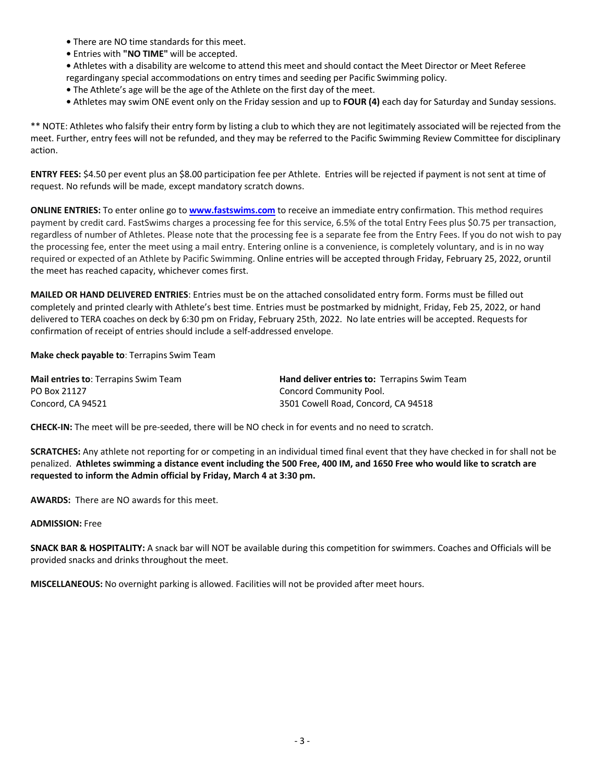- There are NO time standards for this meet.
- Entries with **"NO TIME"** will be accepted.
- Athletes with a disability are welcome to attend this meet and should contact the Meet Director or Meet Referee regardingany special accommodations on entry times and seeding per Pacific Swimming policy.
- The Athlete's age will be the age of the Athlete on the first day of the meet.
- Athletes may swim ONE event only on the Friday session and up to **FOUR (4)** each day for Saturday and Sunday sessions.

\*\* NOTE: Athletes who falsify their entry form by listing a club to which they are not legitimately associated will be rejected from the meet. Further, entry fees will not be refunded, and they may be referred to the Pacific Swimming Review Committee for disciplinary action.

**ENTRY FEES:** \$4.50 per event plus an \$8.00 participation fee per Athlete. Entries will be rejected if payment is not sent at time of request. No refunds will be made, except mandatory scratch downs.

**ONLINE ENTRIES:** To enter online go to **www.fastswims.com** to receive an immediate entry confirmation. This method requires payment by credit card. FastSwims charges a processing fee for this service, 6.5% of the total Entry Fees plus \$0.75 per transaction, regardless of number of Athletes. Please note that the processing fee is a separate fee from the Entry Fees. If you do not wish to pay the processing fee, enter the meet using a mail entry. Entering online is a convenience, is completely voluntary, and is in no way required or expected of an Athlete by Pacific Swimming. Online entries will be accepted through Friday, February 25, 2022, or until the meet has reached capacity, whichever comes first.

**MAILED OR HAND DELIVERED ENTRIES**: Entries must be on the attached consolidated entry form. Forms must be filled out completely and printed clearly with Athlete's best time. Entries must be postmarked by midnight, Friday, Feb 25, 2022, or hand delivered to TERA coaches on deck by 6:30 pm on Friday, February 25th, 2022. No late entries will be accepted. Requests for confirmation of receipt of entries should include a self-addressed envelope.

## **Make check payable to**: Terrapins Swim Team

| <b>Mail entries to: Terrapins Swim Team</b> | <b>Hand deliver entries to: Terrapins Swim Team</b> |  |  |  |  |  |  |
|---------------------------------------------|-----------------------------------------------------|--|--|--|--|--|--|
| PO Box 21127                                | Concord Community Pool.                             |  |  |  |  |  |  |
| Concord, CA 94521                           | 3501 Cowell Road, Concord, CA 94518                 |  |  |  |  |  |  |

**CHECK-IN:** The meet will be pre-seeded, there will be NO check in for events and no need to scratch.

**SCRATCHES:** Any athlete not reporting for or competing in an individual timed final event that they have checked in for shall not be penalized. **Athletes swimming a distance event including the 500 Free, 400 IM, and 1650 Free who would like to scratch are requested to inform the Admin official by Friday, March 4 at 3:30 pm.**

**AWARDS:** There are NO awards for this meet.

## **ADMISSION:** Free

**SNACK BAR & HOSPITALITY:** A snack bar will NOT be available during this competition for swimmers. Coaches and Officials will be provided snacks and drinks throughout the meet.

**MISCELLANEOUS:** No overnight parking is allowed. Facilities will not be provided after meet hours.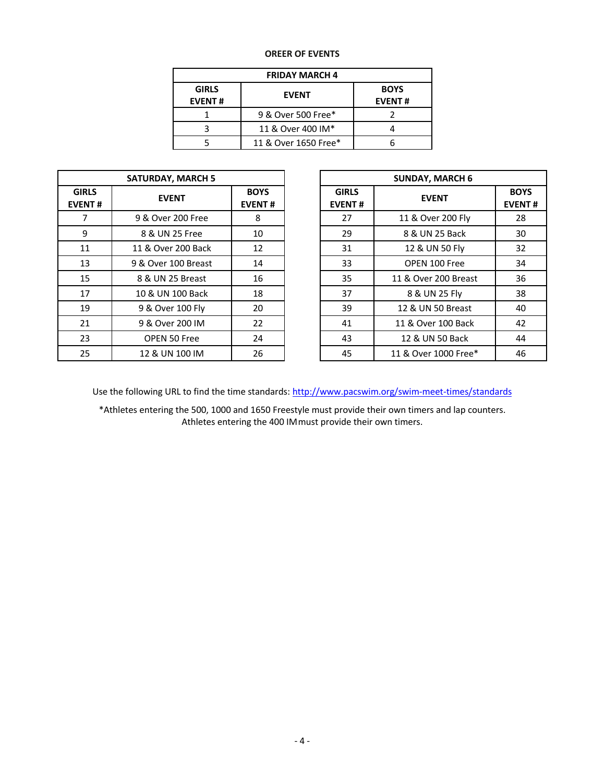## **OREER OF EVENTS**

| <b>FRIDAY MARCH 4</b>         |                      |                              |  |  |  |  |  |
|-------------------------------|----------------------|------------------------------|--|--|--|--|--|
| <b>GIRLS</b><br><b>EVENT#</b> | <b>EVENT</b>         | <b>BOYS</b><br><b>EVENT#</b> |  |  |  |  |  |
|                               | 9 & Over 500 Free*   |                              |  |  |  |  |  |
|                               | 11 & Over 400 IM*    |                              |  |  |  |  |  |
|                               | 11 & Over 1650 Free* |                              |  |  |  |  |  |

|                               | <b>SATURDAY, MARCH 5</b> |                              | <b>SUNDAY, MARCH 6</b>        |                     |
|-------------------------------|--------------------------|------------------------------|-------------------------------|---------------------|
| <b>GIRLS</b><br><b>EVENT#</b> | <b>EVENT</b>             | <b>BOYS</b><br><b>EVENT#</b> | <b>GIRLS</b><br><b>EVENT#</b> | <b>EVENT</b>        |
| 7                             | 9 & Over 200 Free        | 8                            | 27                            | 11 & Over 200 Fly   |
| 9                             | 8 & UN 25 Free           | 10                           | 29                            | 8 & UN 25 Back      |
| 11                            | 11 & Over 200 Back       | 12                           | 31                            | 12 & UN 50 Fly      |
| 13                            | 9 & Over 100 Breast      | 14                           | 33                            | OPEN 100 Free       |
| 15                            | 8 & UN 25 Breast         | 16                           | 35                            | 11 & Over 200 Breas |
| 17                            | 10 & UN 100 Back         | 18                           | 37                            | 8 & UN 25 Fly       |
| 19                            | 9 & Over 100 Fly         | 20                           | 39                            | 12 & UN 50 Breast   |
| 21                            | 9 & Over 200 IM          | 22                           | 41                            | 11 & Over 100 Back  |
| 23                            | OPEN 50 Free             | 24                           | 43                            | 12 & UN 50 Back     |
| 25                            | 12 & UN 100 IM           | 26                           | 45                            | 11 & Over 1000 Free |

|                     | <b>SATURDAY, MARCH 5</b> |                              | <b>SUNDAY, MARCH 6</b>                        |                      |                              |  |
|---------------------|--------------------------|------------------------------|-----------------------------------------------|----------------------|------------------------------|--|
| <b>IRLS</b><br>ENT# | <b>EVENT</b>             | <b>BOYS</b><br><b>EVENT#</b> | <b>GIRLS</b><br><b>EVENT</b><br><b>EVENT#</b> |                      | <b>BOYS</b><br><b>EVENT#</b> |  |
| 7                   | 9 & Over 200 Free        | 8                            | 27                                            | 11 & Over 200 Fly    | 28                           |  |
| 9                   | 8 & UN 25 Free           | 10                           | 29                                            | 8 & UN 25 Back       | 30                           |  |
| 11                  | 11 & Over 200 Back       | 12                           | 31                                            | 12 & UN 50 Fly       | 32                           |  |
| 13                  | 9 & Over 100 Breast      | 14                           | 33                                            | OPEN 100 Free        | 34                           |  |
| 15                  | 8 & UN 25 Breast         | 16                           | 35                                            | 11 & Over 200 Breast | 36                           |  |
| 17                  | 10 & UN 100 Back         | 18                           | 37                                            | 8 & UN 25 Fly        | 38                           |  |
| 19                  | 9 & Over 100 Fly         | 20                           | 39                                            | 12 & UN 50 Breast    | 40                           |  |
| 21                  | 9 & Over 200 IM          | 22                           | 41                                            | 11 & Over 100 Back   | 42                           |  |
| 23                  | OPEN 50 Free             | 24                           | 43                                            | 12 & UN 50 Back      | 44                           |  |
| 25                  | 12 & UN 100 IM           | 26                           | 45                                            | 11 & Over 1000 Free* | 46                           |  |

Use the following URL to find the time standards: http://www.pacswim.org/swim-meet-times/standards

\*Athletes entering the 500, 1000 and 1650 Freestyle must provide their own timers and lap counters. Athletes entering the 400 IM must provide their own timers.